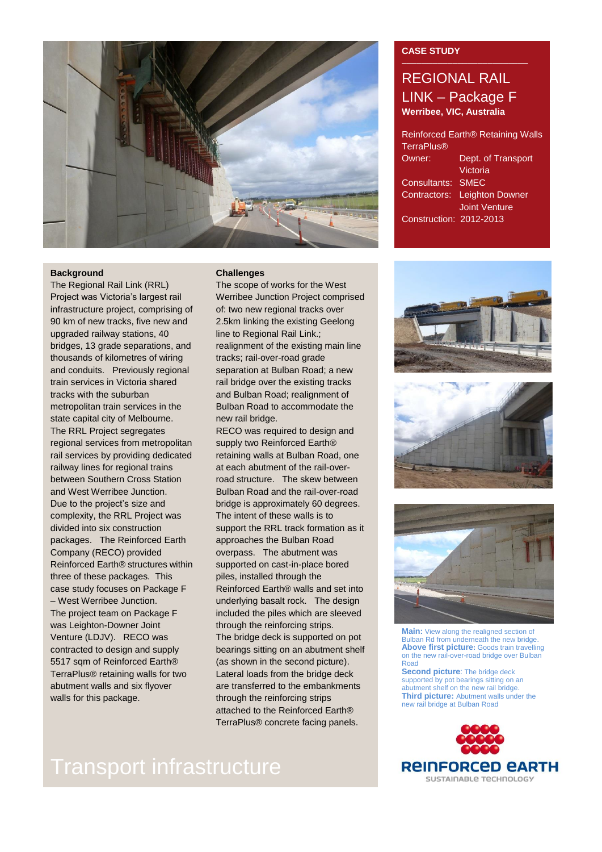

## **Background**

The Regional Rail Link (RRL) Project was Victoria's largest rail infrastructure project, comprising of 90 km of new tracks, five new and upgraded railway stations, 40 bridges, 13 grade separations, and thousands of kilometres of wiring and conduits. Previously regional train services in Victoria shared tracks with the suburban metropolitan train services in the state capital city of Melbourne. The RRL Project segregates regional services from metropolitan rail services by providing dedicated railway lines for regional trains between Southern Cross Station and West Werribee Junction. Due to the project's size and complexity, the RRL Project was divided into six construction packages. The Reinforced Earth Company (RECO) provided Reinforced Earth® structures within three of these packages. This case study focuses on Package F – West Werribee Junction. The project team on Package F was Leighton-Downer Joint Venture (LDJV). RECO was contracted to design and supply 5517 sqm of Reinforced Earth® TerraPlus® retaining walls for two abutment walls and six flyover walls for this package.

## **Challenges**

The scope of works for the West Werribee Junction Project comprised of: two new regional tracks over 2.5km linking the existing Geelong line to Regional Rail Link.; realignment of the existing main line tracks; rail-over-road grade separation at Bulban Road; a new rail bridge over the existing tracks and Bulban Road; realignment of Bulban Road to accommodate the new rail bridge.

RECO was required to design and supply two Reinforced Earth<sup>®</sup> retaining walls at Bulban Road, one at each abutment of the rail-overroad structure. The skew between Bulban Road and the rail-over-road bridge is approximately 60 degrees. The intent of these walls is to support the RRL track formation as it approaches the Bulban Road overpass. The abutment was supported on cast-in-place bored piles, installed through the Reinforced Earth® walls and set into underlying basalt rock. The design included the piles which are sleeved through the reinforcing strips. The bridge deck is supported on pot bearings sitting on an abutment shelf (as shown in the second picture). Lateral loads from the bridge deck are transferred to the embankments through the reinforcing strips attached to the Reinforced Earth® TerraPlus® concrete facing panels.

# Transport infrastructure

## **CASE STUDY**

## REGIONAL RAIL LINK – Package F **Werribee, VIC, Australia**

| Reinforced Earth® Retaining Walls<br><b>TerraPlus®</b> |                      |
|--------------------------------------------------------|----------------------|
| Owner:                                                 | Dept. of Transport   |
|                                                        | Victoria             |
| Consultants:                                           | <b>SMEC</b>          |
| Contractors:                                           | Leighton Downer      |
|                                                        | <b>Joint Venture</b> |
| Construction: 2012-2013                                |                      |







**Main:** View along the realigned section of Bulban Rd from underneath the new bridge. **Above first picture:** Goods train travelling on the new rail-over-road bridge over Bulban Road **Second picture**: The bridge deck

supported by pot bearings sitting on an abutment shelf on the new rail bridge. **Third picture:** Abutment walls under the new rail bridge at Bulban Road